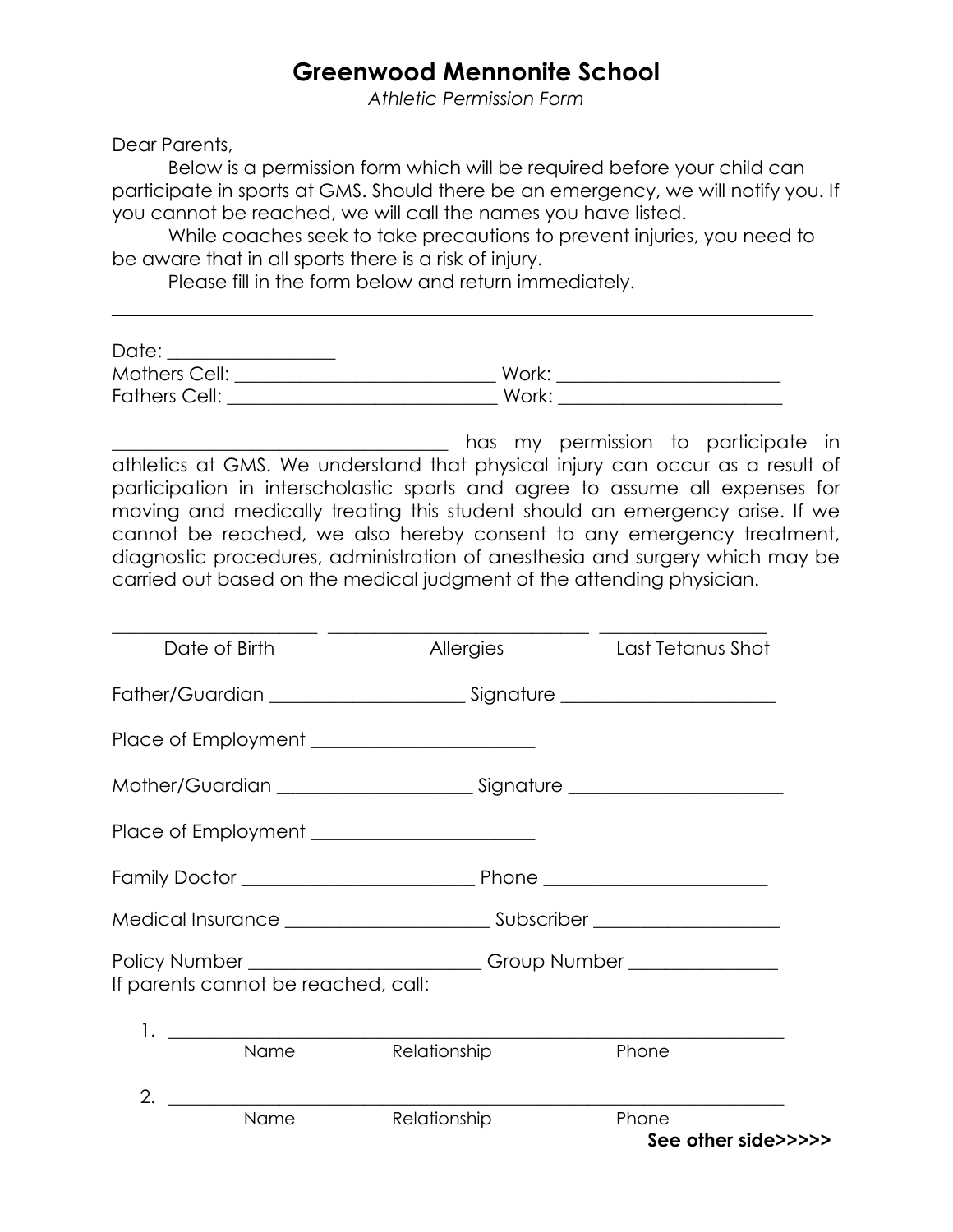## **Greenwood Mennonite School**

*Athletic Permission Form*

Dear Parents,

Below is a permission form which will be required before your child can participate in sports at GMS. Should there be an emergency, we will notify you. If you cannot be reached, we will call the names you have listed.

While coaches seek to take precautions to prevent injuries, you need to be aware that in all sports there is a risk of injury.

Please fill in the form below and return immediately.

| Date:         |       |  |
|---------------|-------|--|
| Mothers Cell: | Work: |  |
| Fathers Cell: | Work: |  |

has my permission to participate in athletics at GMS. We understand that physical injury can occur as a result of participation in interscholastic sports and agree to assume all expenses for moving and medically treating this student should an emergency arise. If we cannot be reached, we also hereby consent to any emergency treatment, diagnostic procedures, administration of anesthesia and surgery which may be carried out based on the medical judgment of the attending physician.

| Date of Birth                                                                                                           | Allergies    | Last Tetanus Shot            |
|-------------------------------------------------------------------------------------------------------------------------|--------------|------------------------------|
|                                                                                                                         |              |                              |
|                                                                                                                         |              |                              |
|                                                                                                                         |              |                              |
|                                                                                                                         |              |                              |
|                                                                                                                         |              |                              |
|                                                                                                                         |              |                              |
| Policy Number ________________________________Group Number _____________________<br>If parents cannot be reached, call: |              |                              |
| Name                                                                                                                    | Relationship | Phone                        |
| 2.                                                                                                                      |              |                              |
| Name                                                                                                                    | Relationship | Phone<br>See other side>>>>> |